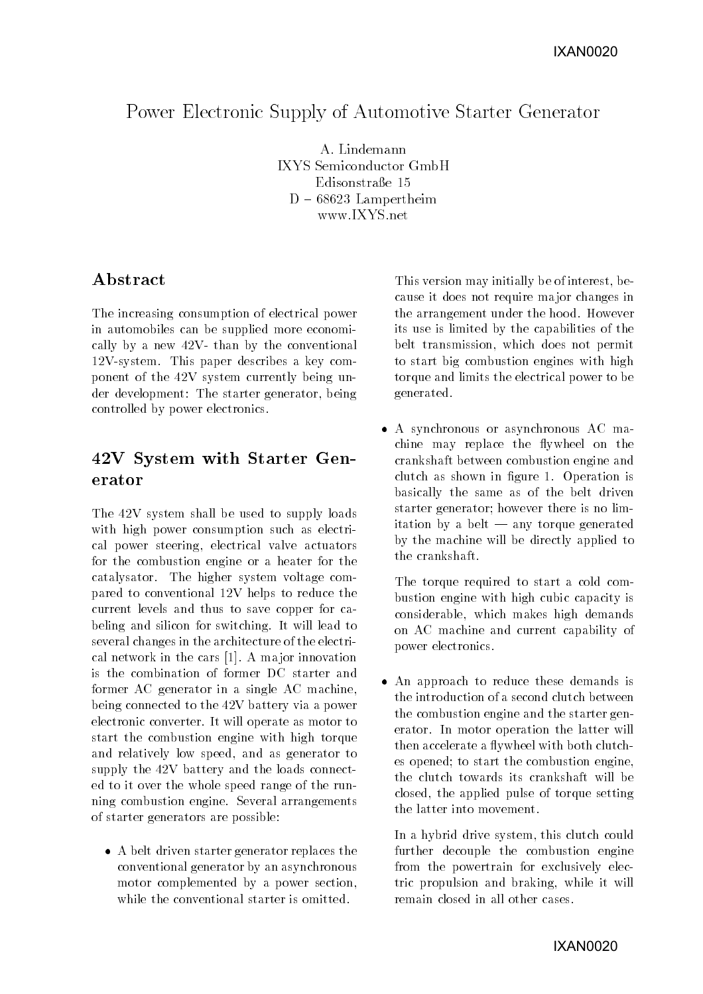# Power Electronic Supply of Automotive Starter Generator

IXYS Semiconductor GmbH Edisonstraße 15  $D - 68623$  Lampertheim www.IXYS.net

## A bstract

The increasing consumption of electrical power in automobiles can be supplied more economically by a new  $42V$ - than by the conventional 12V-system. This paper describes a key component of the 42V system currently being under development: The starter generator, being controlled by power electronics.

## 42V System with Starter Generator

The 42V system shall be used to supply loads with high power consumption such as electrical power steering, electrical valve actuators for the combustion engine or a heater for the catalysator. The higher system voltage compared to conventional 12V helps to reduce the current levels and thus to save copper for cabeling and silicon for switching. It will lead to several changes in the architecture of the electrical network in the cars [1]. A ma jor innovation is the combination of former DC starter and former AC generator in a single AC machine, being connected to the 42V battery via a power electronic converter. It will operate as motor to start the combustion engine with high torque and relatively low speed, and as generator to supply the 42V battery and the loads connected to it over the whole speed range of the running combustion engine. Several arrangements of starter generators are possible:

 A belt driven starter generator replaces the conventional generator by an asynchronous motor complemented by a power section, while the conventional starter is omitted.

This version may initially be of interest, because it does not require ma jor changes in the arrangement under the hood. However its use is limited by the capabilities of the belt transmission, which does not permit to start big combustion engines with high torque and limits the electrical power to be generated.

 A synchronous or asynchronous AC machine may replace the flywheel on the crankshaft between combustion engine and clutch as shown in gure 1. Operation is basically the same as of the belt driven starter generator; however there is no limitation by a belt  $-$  any torque generated by the machine will be directly applied to the crankshaft.

The torque required to start a cold combustion engine with high cubic capacity is considerable, which makes high demands on AC machine and current capability of power electronics.

 An approach to reduce these demands is the introduction of a second clutch between the combustion engine and the starter generator. In motor operation the latter will then accelerate a flywheel with both clutches opened; to start the combustion engine, the clutch towards its crankshaft will be closed, the applied pulse of torque setting the latter into movement.

In a hybrid drive system, this clutch could further decouple the combustion engine from the powertrain for exclusively electric propulsion and braking, while it will remain closed in all other cases.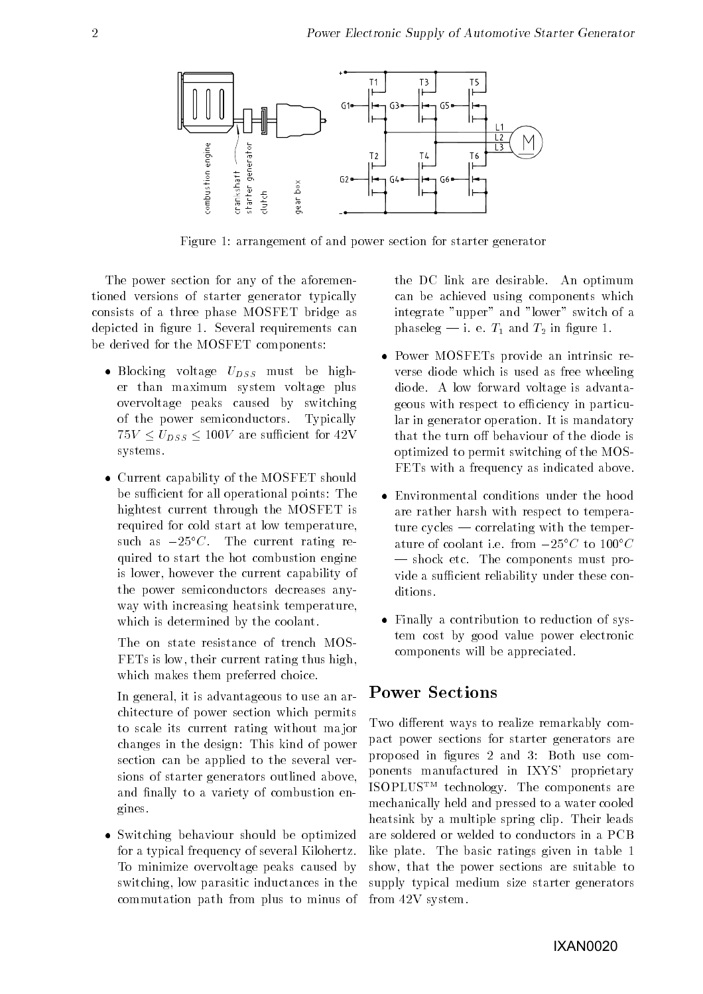

Figure 1: arrangement of and power section for starter generator

The power section for any of the aforementioned versions of starter generator typically consists of a three phase MOSFET bridge as depicted in figure 1. Several requirements can be derived for the MOSFET components:

- $\bullet$  Blocking voltage  $U_{DSS}$  must be higher than maximum system voltage plus overvoltage peaks caused by switching of the power semiconductors. Typically  $75V \le U_{DSS} \le 100V$  are sufficient for 42V systems.
- Current capability of the MOSFET should be sufficient for all operational points: The hightest current through the MOSFET is required for cold start at low temperature, such as  $-25\degree C$ . The current rating required to start the hot combustion engine is lower, however the current capability of the power semiconductors decreases anyway with increasing heatsink temperature, which is determined by the coolant.

The on state resistance of trench MOS-FETs is low, their current rating thus high, which makes them preferred choice.

In general, it is advantageous to use an architecture of power section which permits to scale its current rating without ma jor changes in the design: This kind of power section can be applied to the several versions of starter generators outlined above, and finally to a variety of combustion engines. gines.

 Switching behaviour should be optimized for a typical frequency of several Kilohertz. To minimize overvoltage peaks caused by switching, low parasitic inductances in the commutation path from plus to minus of the DC link are desirable. An optimum can be achieved using components which integrate "upper" and "lower" switch of a phaseleg — i. e.  $T_1$  and  $T_2$  in figure 1.

- Power MOSFETs provide an intrinsic reverse diode which is used as free wheeling diode. A low forward voltage is advantageous with respect to efficiency in particular in generator operation. It is mandatory that the turn off behaviour of the diode is optimized to permit switching of the MOS-FETs with a frequency as indicated above.
- Environmental conditions under the hood are rather harsh with respect to temperature cycles  $-$  correlating with the temperature of coolant i.e. from  $-25\degree C$  to  $100\degree C$  $\sim$  shock etc. The components must provide a sufficient reliability under these conditions.
- Finally a contribution to reduction of system cost by good value power electronic components will be appreciated.

#### Power Sections

Two different ways to realize remarkably compact power sections for starter generators are proposed in figures 2 and 3: Both use components manufactured in IXYS' proprietary ISOPLUSTM technology. The components are mechanically held and pressed to a water cooled heatsink by a multiple spring clip. Their leads are soldered or welded to conductors in a PCB like plate. The basic ratings given in table 1 show, that the power sections are suitable to supply typical medium size starter generators from 42V system.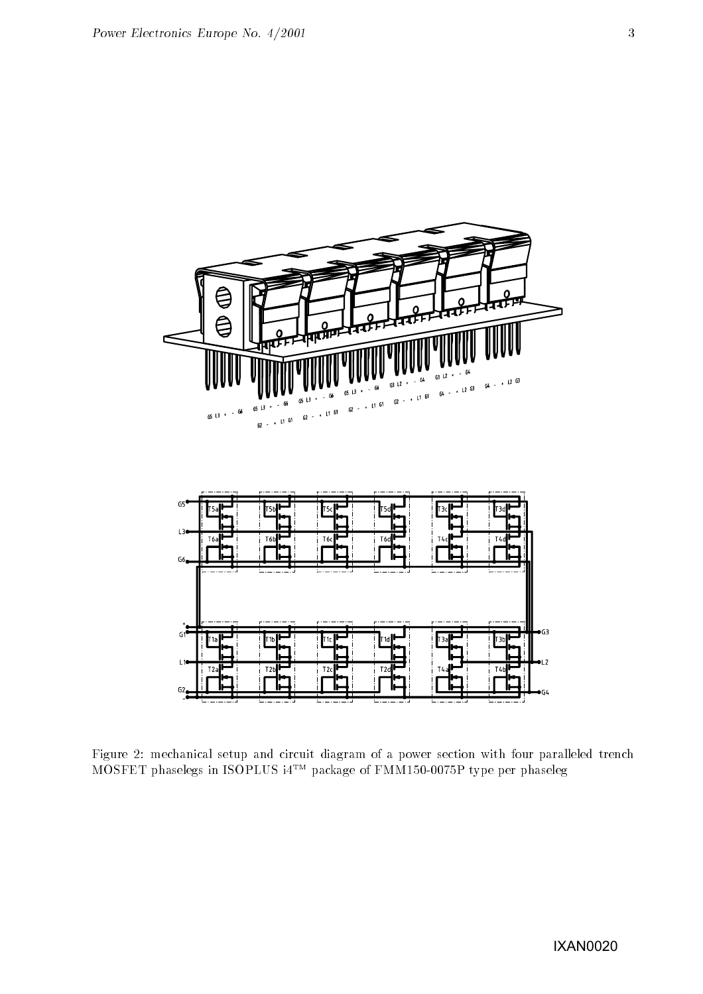

Figure 2: mechanical setup and circuit diagram of a power section with four paralleled trench MOSFET phaselegs in ISOPLUS i4TM package of FMM150-0075P type per phaseleg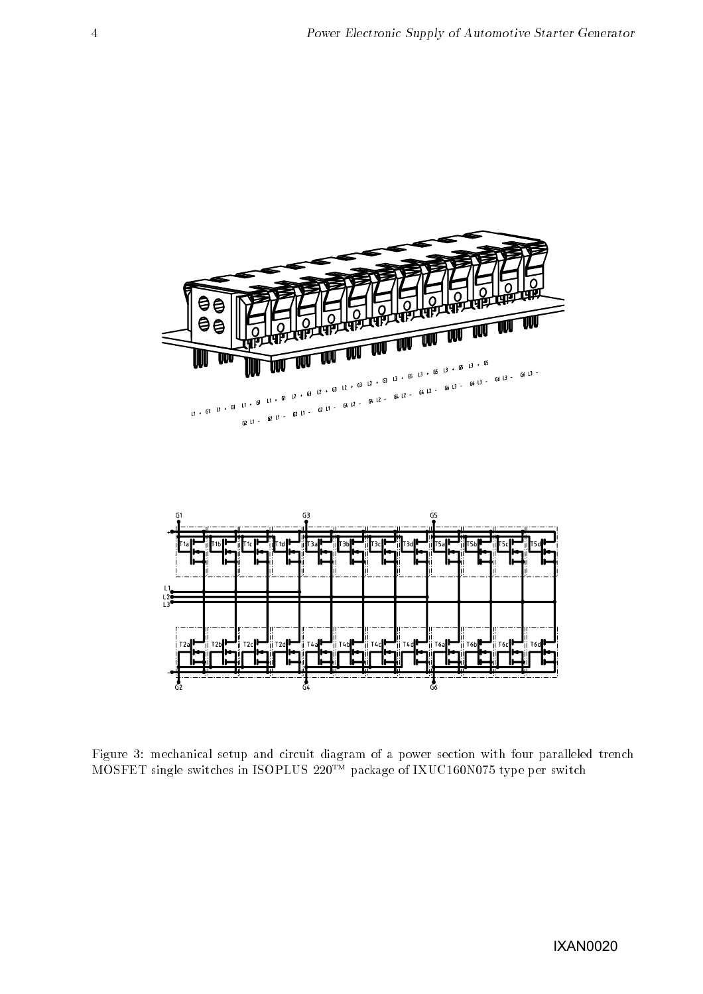

Figure 3: mechanical setup and circuit diagram of a power section with four paralleled trench  $MOSFET$  single switches in ISOPLUS  $220^{TM}$  package of IXUC160N075 type per switch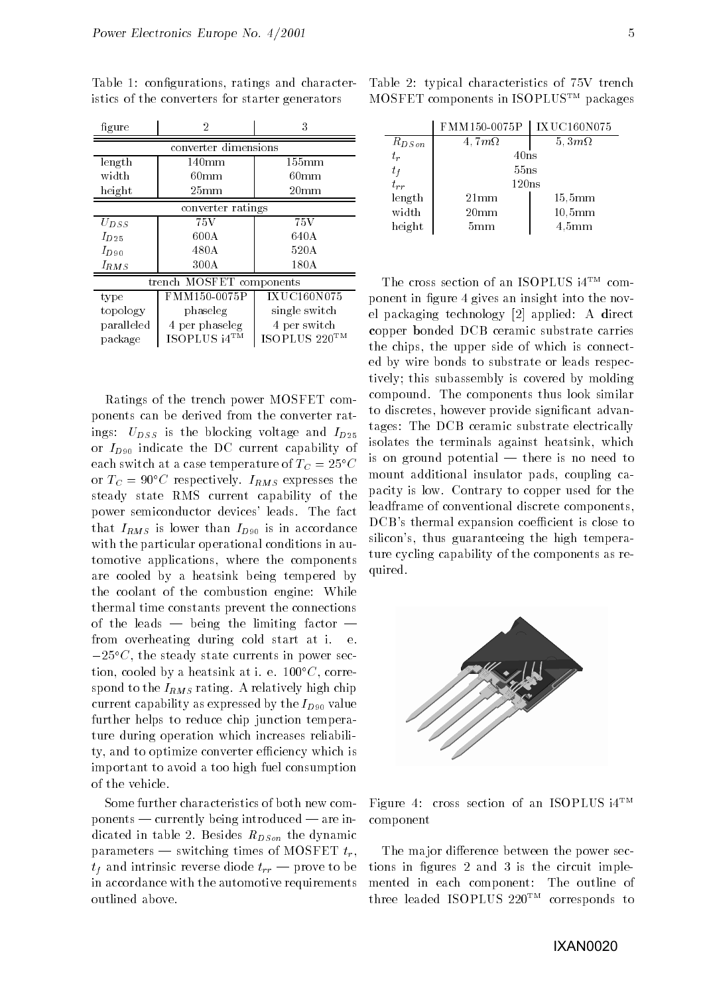| figure                   | $\overline{2}$   | 3                  |  |
|--------------------------|------------------|--------------------|--|
| converter dimensions     |                  |                    |  |
| length                   | $140 \text{mm}$  | $155 \mathrm{mm}$  |  |
| width                    | 60 <sub>mm</sub> | $60 \,\mathrm{mm}$ |  |
| height                   | $25 \text{mm}$   | $20 \text{mm}$     |  |
| converter ratings        |                  |                    |  |
| $U_{DSS}$                | 75V              | 75V                |  |
| $I_{D25}$                | 600A             | 640A               |  |
| $I_{D90}$                | 480A             | 520A               |  |
| $I_{RMS}$                | 300A             | 180A               |  |
| trench MOSFET components |                  |                    |  |
| type                     | FMM150-0075P     | <b>IXUC160N075</b> |  |
| topology                 | phaseleg         | single switch      |  |
| paralleled               | 4 per phaseleg   | 4 per switch       |  |
| package                  | ISOPLUS i4TM     | ISOPLUS 220TM      |  |

Table 1: configurations, ratings and characteristics of the converters for starter generators

Ratings of the trench power MOSFET components can be derived from the converter ratings:  $U_{DSS}$  is the blocking voltage and  $I_{D25}$ or  $I_{D90}$  indicate the DC current capability of each switch at a case temperature of  $T_C = 25^{\circ}C$ or  $T_C = 90^{\circ}C$  respectively.  $I_{RMS}$  expresses the steady state RMS current capability of the power semiconductor devices' leads. The fact that  $I_{RMS}$  is lower than  $I_{D90}$  is in accordance with the particular operational conditions in automotive applications, where the components are cooled by a heatsink being tempered by the coolant of the combustion engine: While thermal time constants prevent the connections of the leads  $-$  being the limiting factor  $$ from overheating during cold start at i. e.  $-25\degree C$ , the steady state currents in power section, cooled by a heatsink at i. e.  $100^{\circ}C$ , correspond to the  $I_{RMS}$  rating. A relatively high chip current capability as expressed by the  $I_{D90}$  value further helps to reduce chip junction temperature during operation which increases reliability, and to optimize converter efficiency which is important to avoid a too high fuel consumption of the vehicle.

Some further characteristics of both new com- $\mathbf{p}$  ponents — currently being introduced — are indicated in table 2. Besides  $R_{DSon}$  the dynamic parameters — switching times of MOSFET  $t_r$ .  $t_f$  and intrinsic reverse diode  $t_{rr}$  – prove to be in accordance with the automotive requirements outlined above.

Table 2: typical characteristics of 75V trench MOSFET components in ISOPLUSTM packages

|             | FMM150-0075P       | IXUC160N075         |
|-------------|--------------------|---------------------|
| $R_{DSon}$  | $4,7m\Omega$       | 5, $3m\Omega$       |
| $t_{\it r}$ | 40ns               |                     |
| $t_f$       | 55ns               |                     |
| $t_{rr}$    | 120ns              |                     |
| length      | $21 \,\mathrm{mm}$ | $15,5 \mathrm{mm}$  |
| width       | $20 \,\mathrm{mm}$ | $10,5 \text{mm}$    |
| height      | 5mm                | $4,5 \,\mathrm{mm}$ |

The cross section of an ISOPLUS i4TM component in figure 4 gives an insight into the novel packaging technology [2] applied: A direct copper bonded DCB ceramic substrate carries the chips, the upper side of which is connected by wire bonds to substrate or leads respectively; this subassembly is covered by molding compound. The components thus look similar to discretes, however provide signicant advantages: The DCB ceramic substrate electrically isolates the terminals against heatsink, which is on ground potential  $-$  there is no need to mount additional insulator pads, coupling capacity is low. Contrary to copper used for the leadframe of conventional discrete components, DCB's thermal expansion coefficient is close to silicon's, thus guaranteeing the high temperature cycling capability of the components as required.



Figure 4: cross section of an ISOPLUS  $i4^{TM}$ component

The major difference between the power sections in gures 2 and 3 is the circuit implemented in each component: The outline of three leaded ISOPLUS 220TM corresponds to